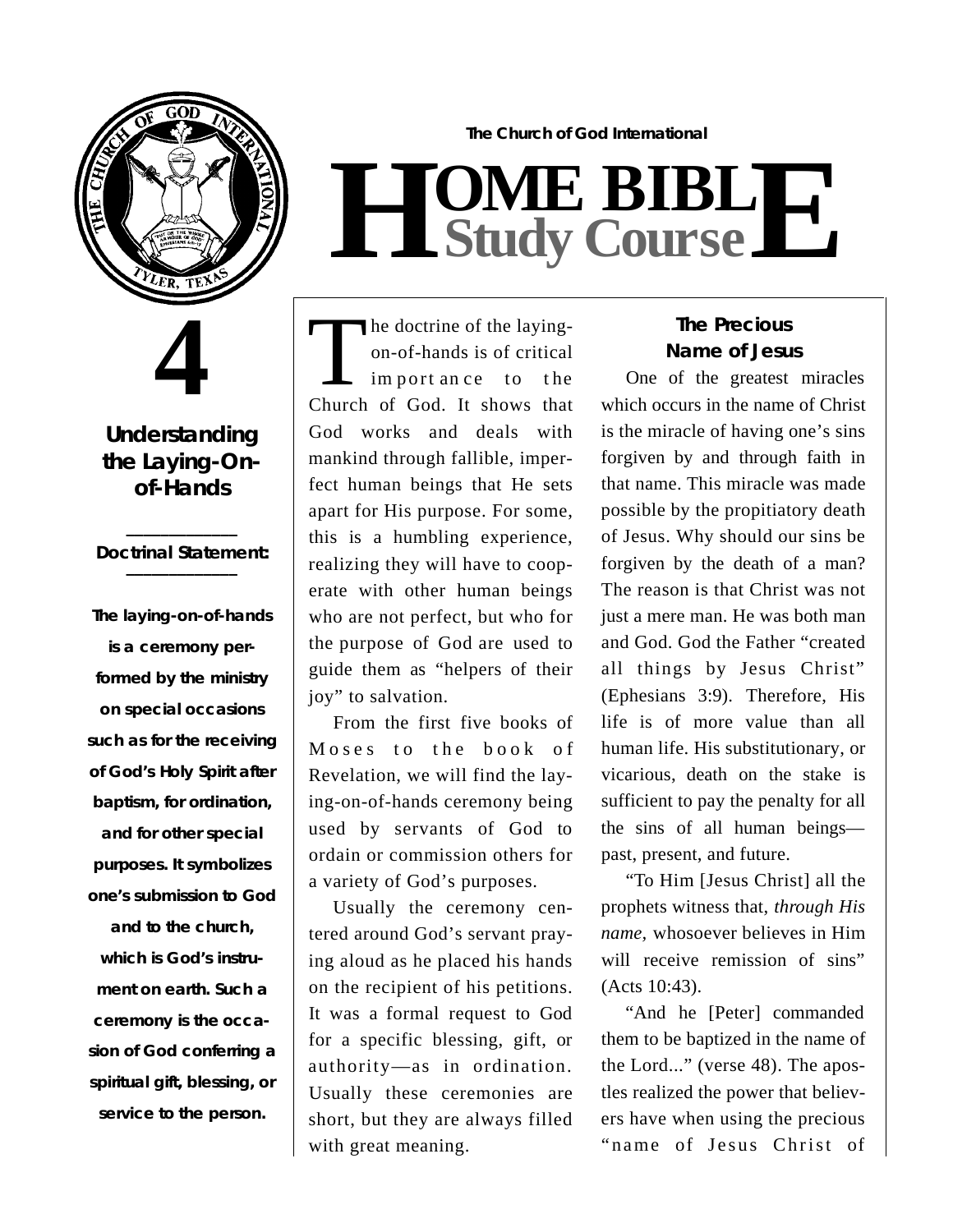

**4**

**Understanding the Laying-Onof-Hands**

#### **\_\_\_\_\_\_\_\_\_\_\_\_\_** *Doctrinal Statement:* **\_\_\_\_\_\_\_\_\_\_\_\_\_**

**The laying-on-of-hands is a ceremony per**formed by the ministry **on special occasions** such as for the receiving **of God's Holy Spirit after** baptism, for ordination, **and for other special purposes. It symbolizes one's submission to God** and to the church. **which is God's instrument on earth. Such a** ceremony is the occa**sion of God conferring a spiritual gift, blessing, or service to the person.**

**The Church of God International**  $H$  **Study Study Cour BIB s e L E**

The doctrine of the laying-<br>
on-of-hands is of critical<br>
import an ce to the<br>
Church of God. It shows that he doctrine of the layingon-of-hands is of critical im port an ce to the God works and deals with mankind through fallible, imperfect human beings that He sets apart for His purpose. For some, this is a humbling experience, realizing they will have to cooperate with other human beings who are not perfect, but who for the purpose of God are used to guide them as "helpers of their joy" to salvation.

From the first five books of Moses to the book of Revelation, we will find the laying-on-of-hands ceremony being used by servants of God to ordain or commission others for a variety of God's purposes.

Usually the ceremony centered around God's servant praying aloud as he placed his hands on the recipient of his petitions. It was a formal request to God for a specific blessing, gift, or authority—as in ordination. Usually these ceremonies are short, but they are always filled with great meaning.

## **The Precious Name of Jesus**

One of the greatest miracles which occurs in the name of Christ is the miracle of having one's sins forgiven by and through faith in that name. This miracle was made possible by the propitiatory death of Jesus. Why should our sins be forgiven by the death of a man? The reason is that Christ was not just a mere man. He was both man and God. God the Father "created all things by Jesus Christ" (Ephesians 3:9). Therefore, His life is of more value than all human life. His substitutionary, or vicarious, death on the stake is sufficient to pay the penalty for all the sins of all human beings past, present, and future.

" To Him [Jesus Christ] all the prophets witness that, *through His name*, whosoever believes in Him will receive remission of sins" (Acts 10:43).

"And he [Peter] commanded them to be baptized in the name of the Lord..." (verse 48). The apostles realized the power that believers have when using the precious "name of Jesus Christ of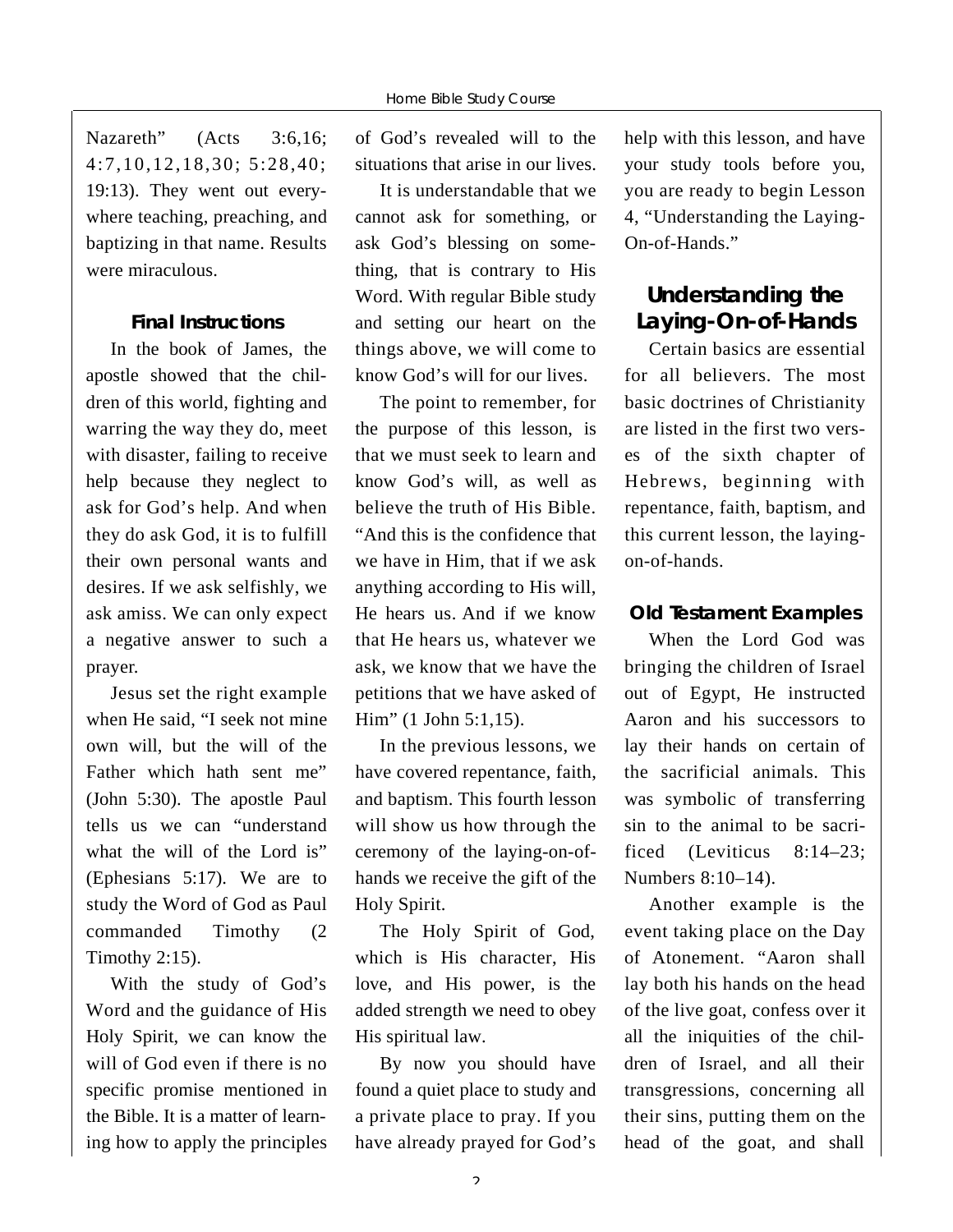Nazareth" (Acts 3:6,16; 4:7,10,12,18,30; 5:28,40; 19:13). They went out everywhere teaching, preaching, and baptizing in that name. Results were miraculous.

#### **Final Instructions**

In the book of James, the apostle showed that the children of this world, fighting and warring the way they do, meet with disaster, failing to receive help because they neglect to ask for God's help. And when they do ask God, it is to fulfill their own personal wants and desires. If we ask selfishly, we ask amiss. We can only expect a negative answer to such a prayer.

Jesus set the right example when He said, "I seek not mine own will, but the will of the Father which hath sent me" (John 5:30). The apostle Paul tells us we can "understand what the will of the Lord is" (Ephesians 5:17). We are to study the Word of God as Paul commanded Timothy (2 Timothy 2:15).

With the study of God's Word and the guidance of His Holy Spirit, we can know the will of God even if there is no specific promise mentioned in the Bible. It is a matter of learning how to apply the principles of God's revealed will to the situations that arise in our lives.

It is understandable that we cannot ask for something, or ask God's blessing on something, that is contrary to His Word. With regular Bible study and setting our heart on the things above, we will come to know God's will for our lives.

The point to remember, for the purpose of this lesson, is that we must seek to learn and know God's will, as well as believe the truth of His Bible. "And this is the confidence that we have in Him, that if we ask anything according to His will, He hears us. And if we know that He hears us, whatever we ask, we know that we have the petitions that we have asked of Him" (1 John 5:1,15).

In the previous lessons, we have covered repentance, faith, and baptism. This fourth lesson will show us how through the ceremony of the laying-on-ofhands we receive the gift of the Holy Spirit.

The Holy Spirit of God, which is His character, His love, and His power, is the added strength we need to obey His spiritual law.

By now you should have found a quiet place to study and a private place to pray. If you have already prayed for God's

help with this lesson, and have your study tools before you, you are ready to begin Lesson 4, "Understanding the Laying- $On-of-Hands.$ "

# **Understanding the** Laying-On-of-Hands

Certain basics are essential for all believers. The most basic doctrines of Christianity are listed in the first two verses of the sixth chapter of Hebrews, beginning with repentance, faith, baptism, and this current lesson, the layingon-of-hands.

#### **Old Testament Examples**

When the Lord God was bringing the children of Israel out of Egypt, He instructed Aaron and his successors to lay their hands on certain of the sacrificial animals. This was symbolic of transferring sin to the animal to be sacrificed (Leviticus 8:14–23; Numbers 8:10–14).

Another example is the event taking place on the Day of Atonement. "Aaron shall lay both his hands on the head of the live goat, confess over it all the iniquities of the children of Israel, and all their transgressions, concerning all their sins, putting them on the head of the goat, and shall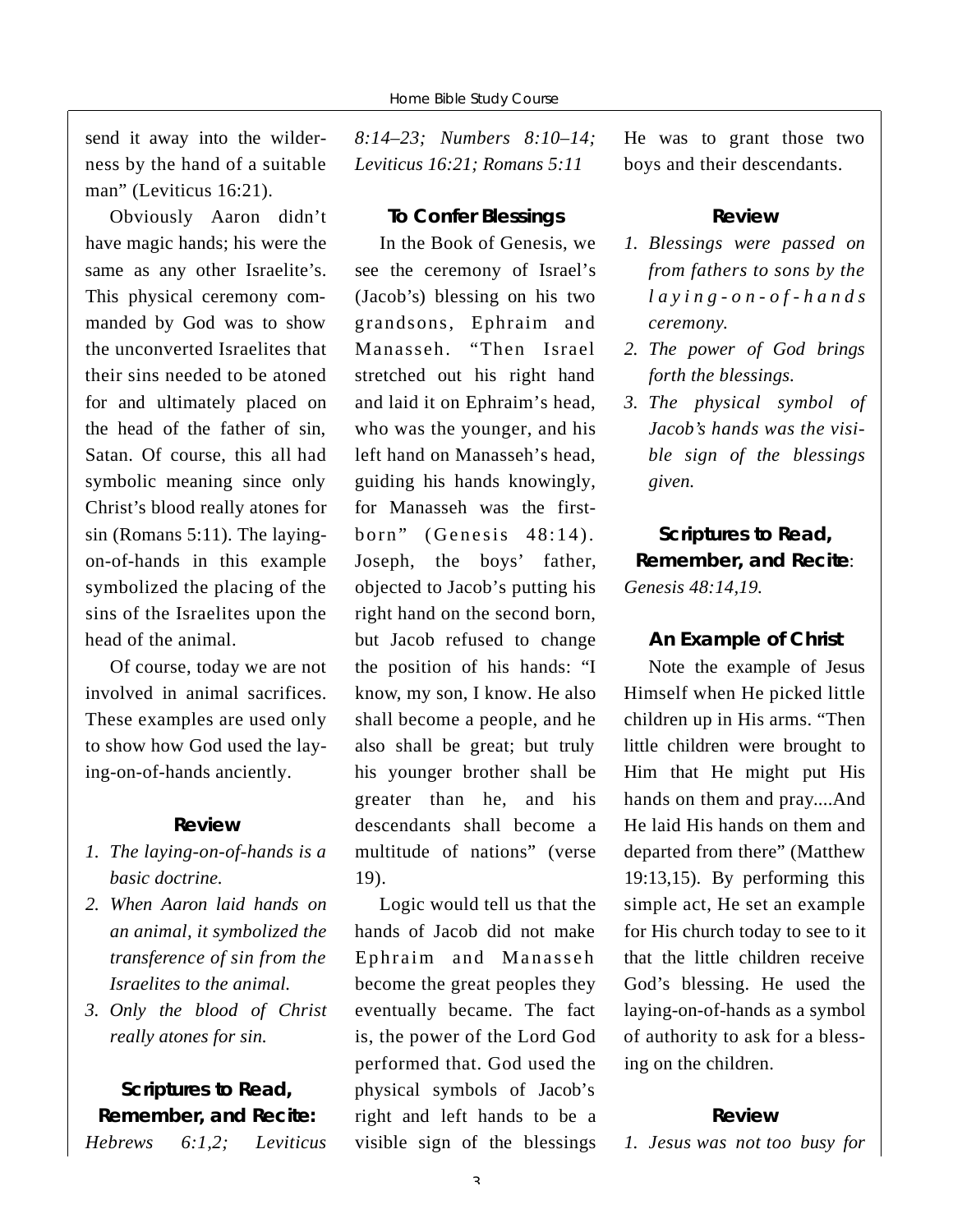send it away into the wilderness by the hand of a suitable man" (Leviticus 16:21).

Obviously Aaron didn't have magic hands; his were the same as any other Israelite's. This physical ceremony commanded by God was to show the unconverted Israelites that their sins needed to be atoned for and ultimately placed on the head of the father of sin, Satan. Of course, this all had symbolic meaning since only Christ's blood really atones for sin (Romans 5:11). The layingon-of-hands in this example symbolized the placing of the sins of the Israelites upon the head of the animal.

Of course, today we are not involved in animal sacrifices. These examples are used only to show how God used the laying-on-of-hands anciently.

#### **R e v i e w**

- *1. The laying-on-of-hands is a basic doctrine.*
- *2. When A a ron laid hands on an animal, it symbolized the transference of sin from the Israelites to the animal.*
- *3. Only the blood of Christ really atones for sin.*

### **Scriptures to Read, Remember, and Recite:** *H e b rews 6:1,2; Leviticus*

*8:14–23; Numbers 8:10–14; Leviticus 16:21; Romans 5:11*

#### **To Confer Blessings**

In the Book of Genesis, we see the ceremony of Israel's (Jacob's) blessing on his two grandsons, Ephraim and Manasseh. "Then Israel stretched out his right hand and laid it on Ephraim's head, who was the younger, and his left hand on Manasseh's head, guiding his hands knowingly, for Manasseh was the firstborn" (Genesis 48:14). Joseph, the boys' father, objected to Jacob's putting his right hand on the second born, but Jacob refused to change the position of his hands: "I know, my son, I know. He also shall become a people, and he also shall be great; but truly his younger brother shall be greater than he, and his descendants shall become a multitude of nations" (verse  $19$ .

Logic would tell us that the hands of Jacob did not make Ephraim and Manasseh become the great peoples they eventually became. The fact is, the power of the Lord God performed that. God used the physical symbols of Jacob's right and left hands to be a visible sign of the blessings He was to grant those two boys and their descendants.

#### **R e v i e w**

- *1. Blessings were passed on f rom fathers to sons by the*   $l$  *a*  $y$  *i*  $n$   $g$  *-*  $o$   $n$  *-*  $o$   $f$  *-*  $h$   $a$   $n$   $d$   $s$  $c$  *e remony.*
- *2. The power of God brings forth the blessings.*
- *3. The physical symbol of* Jacob's hands was the visi*ble sign of the blessings g i v e n .*

**Scriptures to Read, Remember, and Recite:** *Genesis 48:14,19.*

#### **An Example of Christ**

Note the example of Jesus Himself when He picked little children up in His arms. "Then little children were brought to Him that He might put His hands on them and pray....And He laid His hands on them and departed from there" (Matthew 19:13,15). By performing this simple act, He set an example for His church today to see to it that the little children receive God's blessing. He used the laying-on-of-hands as a symbol of authority to ask for a blessing on the children.

#### **R e v i e w**

*1. Jesus was not too busy for*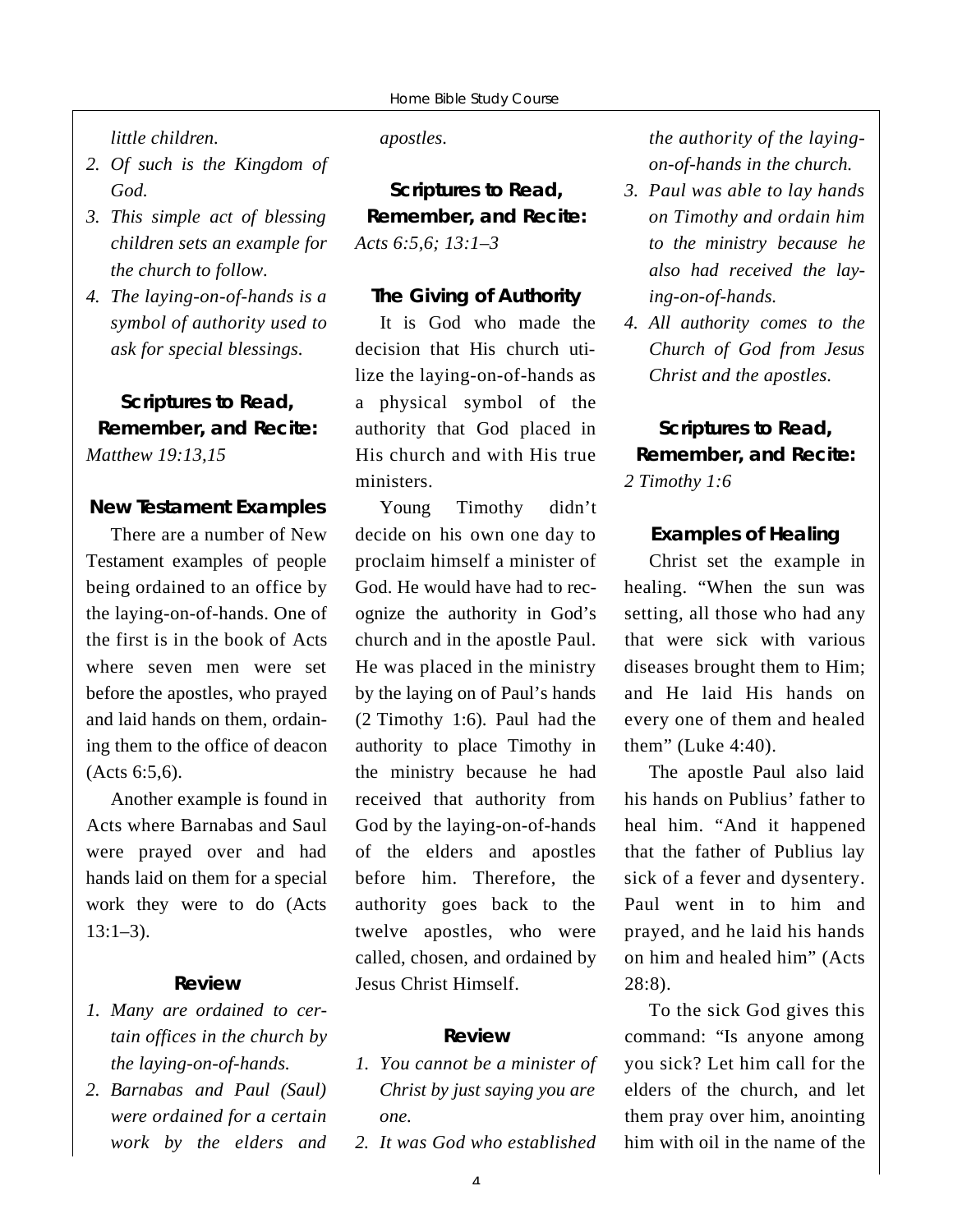*little children* 

- *2. Of such is the Kingdom of God.*
- *3. This simple act of blessing children sets an example for the church to follow.*
- *4. The laying-on-of-hands is a symbol of authority used to ask for special blessings.*

**Scriptures to Read, Remember, and Recite:** *Matthew 19:13,15*

#### **New Testament Examples**

There are a number of New Testament examples of people being ordained to an office by the laying-on-of-hands. One of the first is in the book of Acts where seven men were set before the apostles, who prayed and laid hands on them, ordaining them to the office of deacon (Acts 6:5,6).

Another example is found in Acts where Barnabas and Saul were prayed over and had hands laid on them for a special work they were to do (Acts  $13:1 - 3$ .

#### **R e v i e w**

- *1. Many are ordained to certain offices in the church by the laying-on-of-hands.*
- *2. Barnabas and Paul (Saul) w e re ordained for a certain work by the elders and*

#### *a p o s t l e s .*

**Scriptures to Read, Remember, and Recite:** *Acts 6:5,6; 13:1–3*

#### **The Giving of Authority**

It is God who made the decision that His church utilize the laying-on-of-hands as a physical symbol of the authority that God placed in His church and with His true ministers.

Young Timothy didn't decide on his own one day to proclaim himself a minister of God. He would have had to recognize the authority in God's church and in the apostle Paul. He was placed in the ministry by the laying on of Paul's hands (2 Timothy 1:6). Paul had the authority to place Timothy in the ministry because he had received that authority from God by the laying-on-of-hands of the elders and apostles before him. Therefore, the authority goes back to the twelve apostles, who were called, chosen, and ordained by Jesus Christ Himself.

#### **R e v i e w**

- *1. You cannot be a minister of Christ by just saying you are o n e .*
- *2. It was God who established*

*the authority of the layingon-of-hands in the church.* 

- *3. Paul was able to lay hands on Timothy and ordain him to the ministry because he also had received the lay* $ing-on-of-hands.$
- *4. All authority comes to the Church of God from Jesus Christ and the apostles.*

## **Scriptures to Read, Remember, and Recite:** *2 Timothy 1:6*

#### **Examples of Healing**

Christ set the example in healing. "When the sun was setting, all those who had any that were sick with various diseases brought them to Him; and He laid His hands on every one of them and healed them" (Luke 4:40).

The apostle Paul also laid his hands on Publius' father to heal him. "And it happened that the father of Publius lay sick of a fever and dysentery. Paul went in to him and prayed, and he laid his hands on him and healed him" (Acts  $28:8$ ).

To the sick God gives this command: "Is anyone among you sick? Let him call for the elders of the church, and let them pray over him, anointing him with oil in the name of the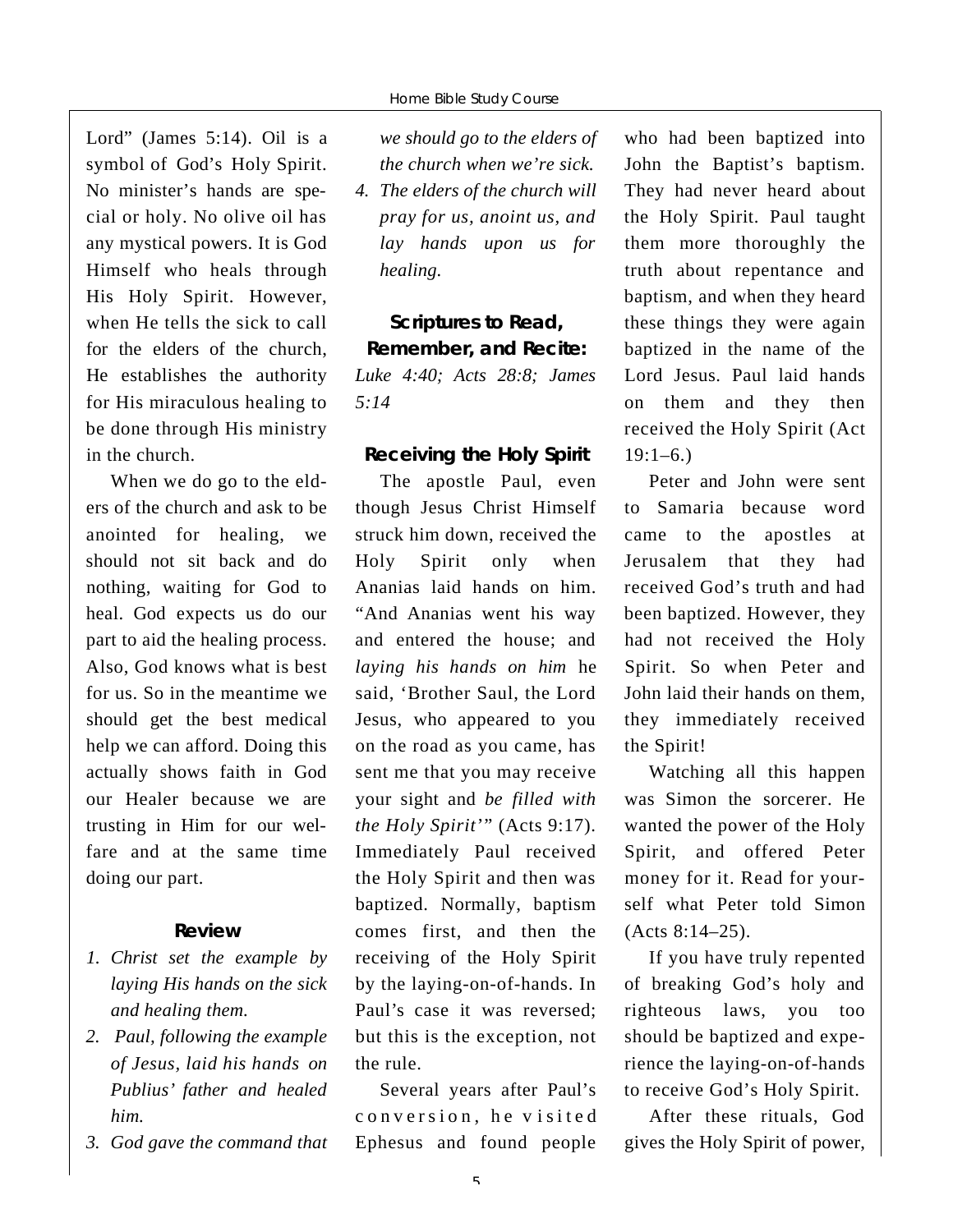Lord" (James 5:14). Oil is a symbol of God's Holy Spirit. No minister's hands are special or holy. No olive oil has any mystical powers. It is God Himself who heals through His Holy Spirit. However, when He tells the sick to call for the elders of the church, He establishes the authority for His miraculous healing to be done through His ministry in the church.

When we do go to the elders of the church and ask to be anointed for healing, we should not sit back and do nothing, waiting for God to heal. God expects us do our part to aid the healing process. Also, God knows what is best for us. So in the meantime we should get the best medical help we can afford. Doing this actually shows faith in God our Healer because we are trusting in Him for our welfare and at the same time doing our part.

#### **R e v i e w**

- *1. Christ set the example by laying His hands on the sick and healing them.*
- *2. Paul, following the example of Jesus, laid his hands on Publius' father and healed him.*
- *3. God gave the command that*

*we should go to the elders of the church when we're sick.*

*4. The elders of the church will pray for us, anoint us, and lay hands upon us for healing.* 

**Scriptures to Read, Remember, and Recite:** *Luke 4:40; Acts 28:8; James 5 : 1 4*

#### **Receiving the Holy Spirit**

The apostle Paul, even though Jesus Christ Himself struck him down, received the Holy Spirit only when Ananias laid hands on him. "And Ananias went his way and entered the house; and *laying his hands on him* he said, 'Brother Saul, the Lord Jesus, who appeared to you on the road as you came, has sent me that you may receive your sight and *be filled with the Holy Spirit*'" (Acts 9:17). Immediately Paul received the Holy Spirit and then was baptized. Normally, baptism comes first, and then the receiving of the Holy Spirit by the laying-on-of-hands. In Paul's case it was reversed; but this is the exception, not the rule.

Several years after Paul's conversion, he visited Ephesus and found people

who had been baptized into John the Baptist's baptism. They had never heard about the Holy Spirit. Paul taught them more thoroughly the truth about repentance and baptism, and when they heard these things they were again baptized in the name of the Lord Jesus. Paul laid hands on them and they then received the Holy Spirit (Act  $19:1 - 6.$ 

Peter and John were sent to Samaria because word came to the apostles at Jerusalem that they had received God's truth and had been baptized. However, they had not received the Holy Spirit. So when Peter and John laid their hands on them, they immediately received the Spirit!

Watching all this happen was Simon the sorcerer. He wanted the power of the Holy Spirit, and offered Peter money for it. Read for yourself what Peter told Simon (Acts 8:14–25).

If you have truly repented of breaking God's holy and righteous laws, you too should be baptized and experience the laying-on-of-hands to receive God's Holy Spirit.

After these rituals, God gives the Holy Spirit of power,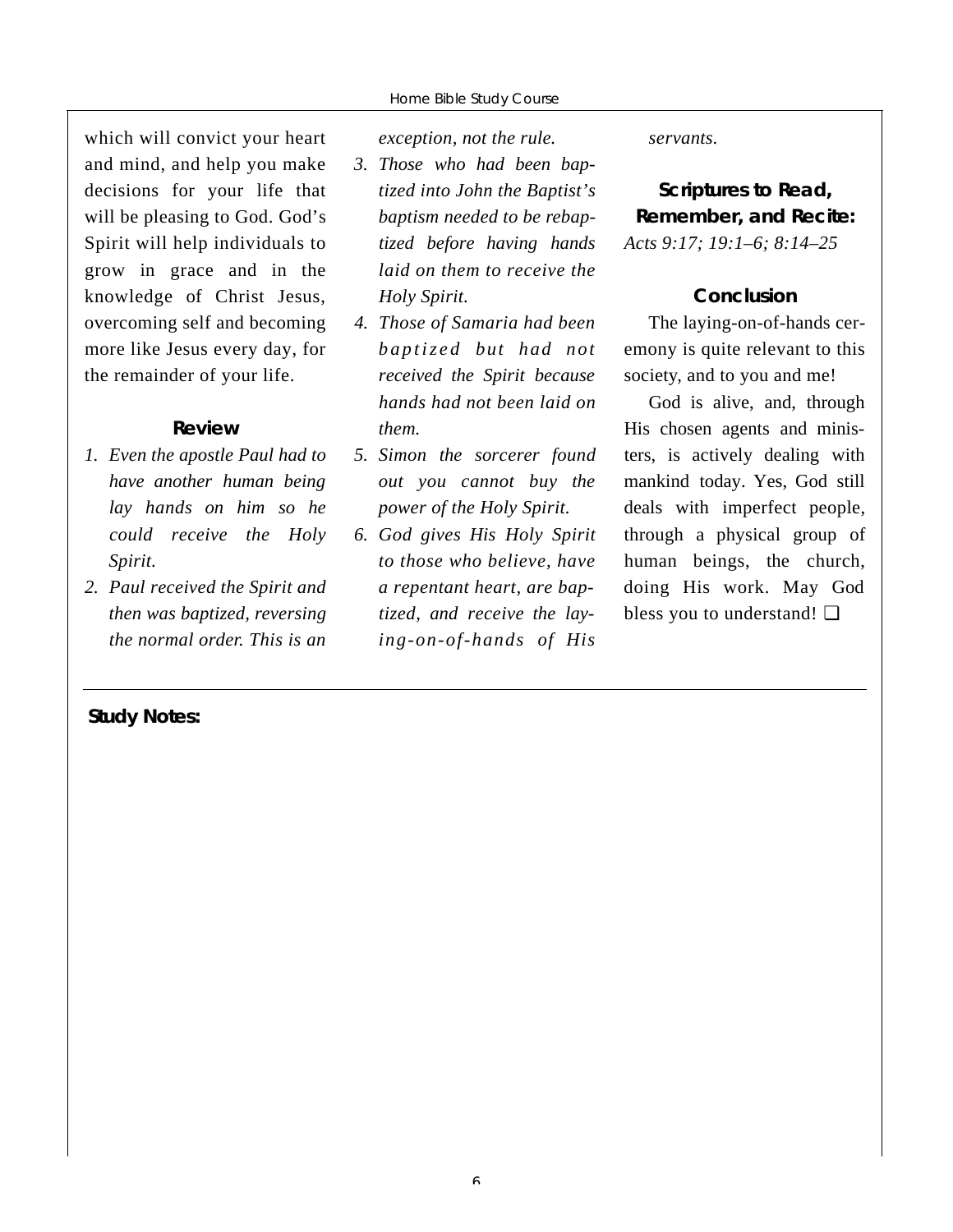which will convict your heart and mind, and help you make decisions for your life that will be pleasing to God. God's Spirit will help individuals to grow in grace and in the knowledge of Christ Jesus, overcoming self and becoming more like Jesus every day, for the remainder of your life.

### **R e v i e w**

- *1. Even the apostle Paul had to have another human being lay hands on him so he could receive the Holy Spirit.*
- *2. Paul received the Spirit and then was baptized, reversing the normal order. This is an*

*Study Notes:*

*exception, not the rule.* 

- *3. Those who had been baptized into John the Baptist's baptism needed to be rebaptized before having hands laid on them to receive the Holy Spirit.*
- *4. Those of Samaria had been baptized but had not received the Spirit because hands had not been laid on them.*
- 5. Simon the sorcerer found *out you cannot buy the power of the Holy Spirit.*
- *6. God gives His Holy Spirit to those who believe, have a repentant heart, are baptized, and receive the laying-on-of-hands of His*

 $s$ *ervants.* 

**Scriptures to Read, Remember, and Recite:** *Acts 9:17; 19:1–6; 8:14–25*

#### **Conclusion**

The laying-on-of-hands ceremony is quite relevant to this society, and to you and me!

God is alive, and, through His chosen agents and ministers, is actively dealing with mankind today. Yes, God still deals with imperfect people, through a physical group of human beings, the church, doing His work. May God bless you to understand! ❏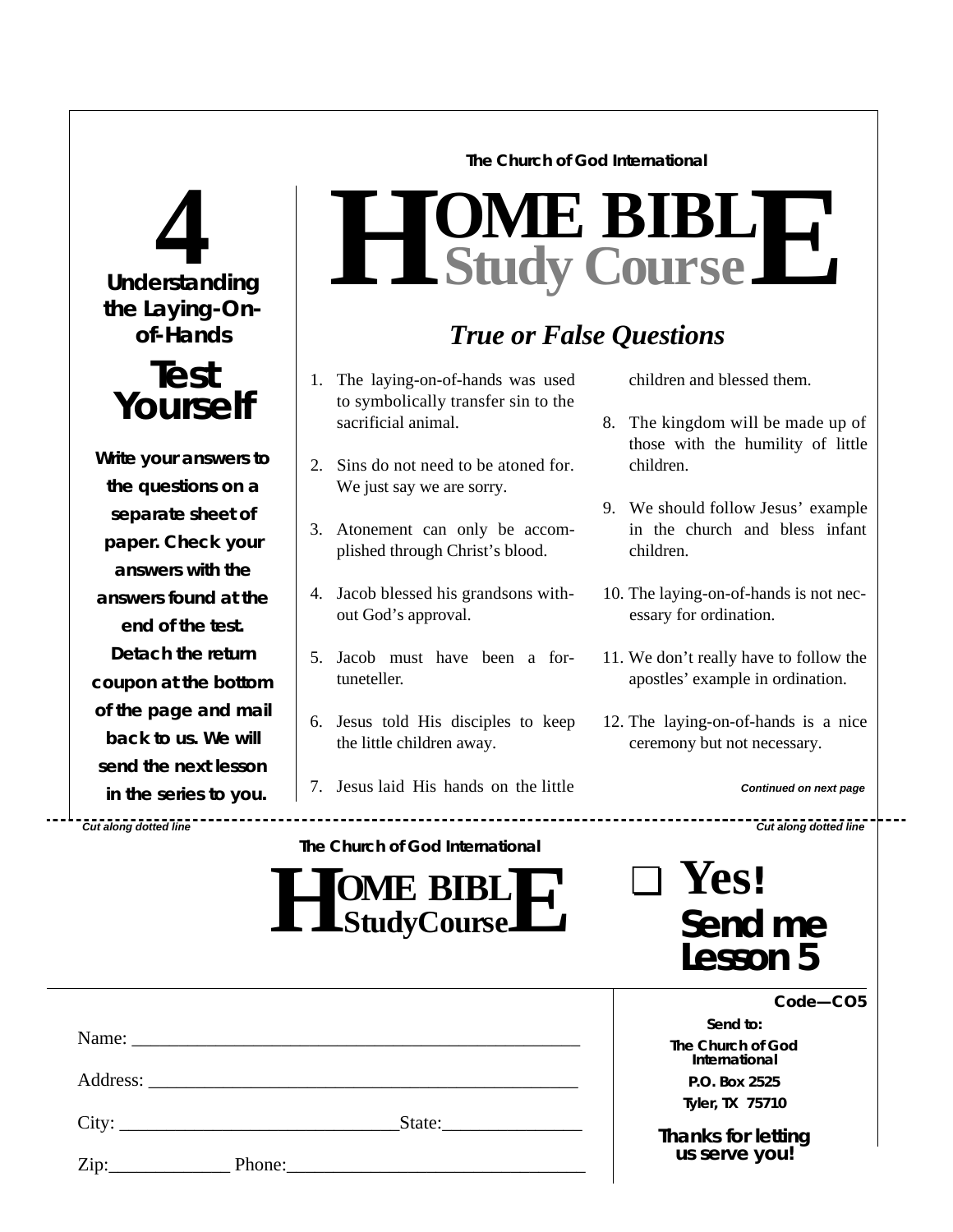# **Understanding 4 the Laying-Onof-Hands Test Yourself Write your answers to the questions on a separate sheet of paper. Check** *your* **answers with the answers found at the end of the test. Detach the return coupon at the bottom of the page and mail back to us. We will send the next lesson**

**in the series to you.**

*Cut along dotted line Cut along dotted line*

# **The Church of God International**

# $H$  **Study Study Cour BIB s e L E**

# *True or False Questions*

- 1. The laying-on-of-hands was used to symbolically transfer sin to the sacrificial animal.
- 2. Sins do not need to be atoned for. We just say we are sorry.
- 3. Atonement can only be accomplished through Christ's blood.
- 4. Jacob blessed his grandsons without God's approval.
- 5. Jacob must have been a fortuneteller.
- 6. Jesus told His disciples to keep the little children away.
- 7. Jesus laid His hands on the little

**The Church of God International**

- children and blessed them.
- 8. The kingdom will be made up of those with the humility of little children.
- 9. We should follow Jesus' example in the church and bless infant children.
- 10. The laying-on-of-hands is not necessary for ordination.
- 11. We don't really have to follow the a postles' example in ordination.
- 12. The laying-on-of-hands is a nice ceremony but not necessary.

#### *Continued on next page*

| <b>SOME BIBLE</b><br>L LStudyCourseLL |
|---------------------------------------|
|---------------------------------------|

| $\Box$ Yes!         |
|---------------------|
| Send me<br>Lesson 5 |

|                                                           | Code-CO5                            |  |
|-----------------------------------------------------------|-------------------------------------|--|
|                                                           | Send to:                            |  |
|                                                           | The Church of God<br>International  |  |
|                                                           | P.O. Box 2525                       |  |
|                                                           | Tyler, TX 75710                     |  |
| City:<br>State:<br>Zip:<br>$\sim$ 100 $-$ 100 $-$ 100 $-$ | Thanks for letting<br>us serve you! |  |